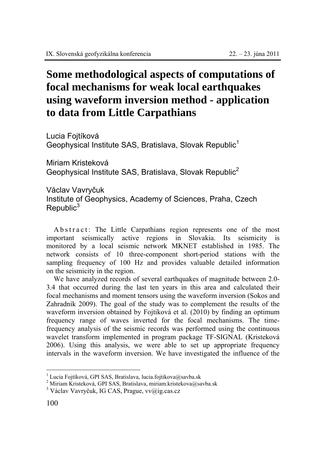## **Some methodological aspects of computations of focal mechanisms for weak local earthquakes using waveform inversion method - application to data from Little Carpathians**

Lucia Fojtíková Geophysical Institute SAS, Bratislava, Slovak Republic<sup>1</sup>

Miriam Kristeková Geophysical Institute SAS, Bratislava, Slovak Republic<sup>2</sup>

Václav Vavryčuk Institute of Geophysics, Academy of Sciences, Praha, Czech  $Republic<sup>3</sup>$ 

A b s t r a c t : The Little Carpathians region represents one of the most important seismically active regions in Slovakia. Its seismicity is monitored by a local seismic network MKNET established in 1985. The network consists of 10 three-component short-period stations with the sampling frequency of 100 Hz and provides valuable detailed information on the seismicity in the region.

We have analyzed records of several earthquakes of magnitude between 2.0- 3.4 that occurred during the last ten years in this area and calculated their focal mechanisms and moment tensors using the waveform inversion (Sokos and Zahradník 2009). The goal of the study was to complement the results of the waveform inversion obtained by Fojtiková et al. (2010) by finding an optimum frequency range of waves inverted for the focal mechanisms. The timefrequency analysis of the seismic records was performed using the continuous wavelet transform implemented in program package TF-SIGNAL (Kristeková 2006). Using this analysis, we were able to set up appropriate frequency intervals in the waveform inversion. We have investigated the influence of the

 $\overline{a}$ 

<sup>&</sup>lt;sup>1</sup> Lucia Fojtíková, GPI SAS, Bratislava, lucia.fojtikova@savba.sk  $^{2}$  Miriam Kristoková GDI SAS, Bratislava, miriam kristokova@sa

 $^2$ Miriam Kristeková, GPI SAS, Bratislava, miriam.kristekova@savba.sk

<sup>&</sup>lt;sup>3</sup> Václav Vavryčuk, IG CAS, Prague, vv@ig.cas.cz